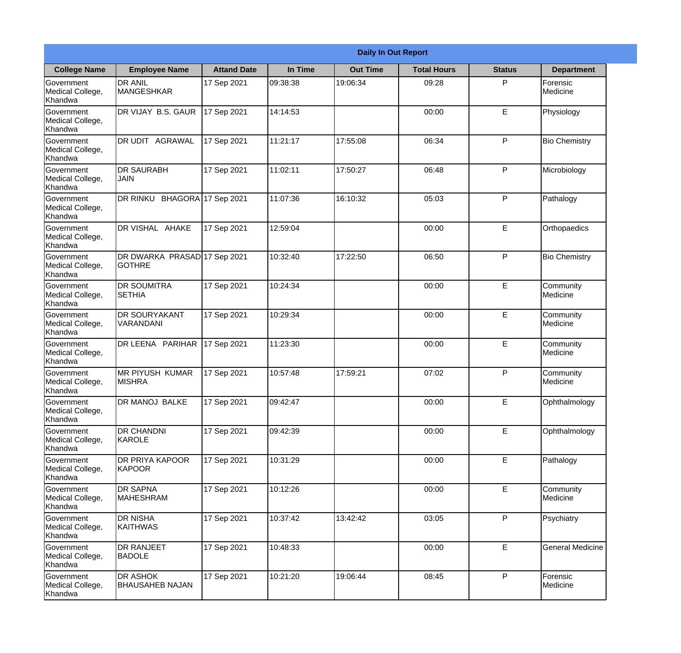|                                                  | <b>Daily In Out Report</b>                    |                    |          |                 |                    |               |                                |  |
|--------------------------------------------------|-----------------------------------------------|--------------------|----------|-----------------|--------------------|---------------|--------------------------------|--|
| <b>College Name</b>                              | <b>Employee Name</b>                          | <b>Attand Date</b> | In Time  | <b>Out Time</b> | <b>Total Hours</b> | <b>Status</b> | <b>Department</b>              |  |
| Government<br>Medical College,<br>Khandwa        | <b>DR ANIL</b><br><b>MANGESHKAR</b>           | 17 Sep 2021        | 09:38:38 | 19:06:34        | 09:28              | P             | Forensic<br>Medicine           |  |
| Government<br>Medical College,<br>Khandwa        | DR VIJAY B.S. GAUR                            | 17 Sep 2021        | 14:14:53 |                 | 00:00              | E             | Physiology                     |  |
| <b>Government</b><br>Medical College,<br>Khandwa | <b>DR UDIT AGRAWAL</b>                        | 17 Sep 2021        | 11:21:17 | 17:55:08        | 06:34              | P             | <b>Bio Chemistry</b>           |  |
| Government<br>Medical College,<br>Khandwa        | <b>DR SAURABH</b><br><b>JAIN</b>              | 17 Sep 2021        | 11:02:11 | 17:50:27        | 06:48              | P             | Microbiology                   |  |
| Government<br>Medical College,<br>Khandwa        | DR RINKU BHAGORA 17 Sep 2021                  |                    | 11:07:36 | 16:10:32        | 05:03              | P             | Pathalogy                      |  |
| Government<br>Medical College,<br>Khandwa        | DR VISHAL AHAKE                               | 17 Sep 2021        | 12:59:04 |                 | 00:00              | E             | Orthopaedics                   |  |
| Government<br>Medical College,<br>Khandwa        | DR DWARKA PRASAD 17 Sep 2021<br><b>GOTHRE</b> |                    | 10:32:40 | 17:22:50        | 06:50              | P             | <b>Bio Chemistry</b>           |  |
| Government<br>Medical College,<br>Khandwa        | <b>DR SOUMITRA</b><br><b>SETHIA</b>           | 17 Sep 2021        | 10:24:34 |                 | 00:00              | E             | Community<br><b>I</b> Medicine |  |
| <b>Government</b><br>Medical College,<br>Khandwa | <b>DR SOURYAKANT</b><br>VARANDANI             | 17 Sep 2021        | 10:29:34 |                 | 00:00              | E             | Community<br>Medicine          |  |
| Government<br>Medical College,<br>Khandwa        | DR LEENA PARIHAR                              | 17 Sep 2021        | 11:23:30 |                 | 00:00              | E             | Community<br><b>Medicine</b>   |  |
| Government<br>Medical College,<br>Khandwa        | <b>MR PIYUSH KUMAR</b><br><b>MISHRA</b>       | 17 Sep 2021        | 10:57:48 | 17:59:21        | 07:02              | P             | Community<br>Medicine          |  |
| Government<br>Medical College,<br>Khandwa        | <b>DR MANOJ BALKE</b>                         | 17 Sep 2021        | 09:42:47 |                 | 00:00              | E             | Ophthalmology                  |  |
| Government<br>Medical College,<br>Khandwa        | <b>DR CHANDNI</b><br>KAROLE                   | 17 Sep 2021        | 09:42:39 |                 | 00:00              | E             | Ophthalmology                  |  |
| Government<br>Medical College,<br>Khandwa        | <b>DR PRIYA KAPOOR</b><br><b>KAPOOR</b>       | 17 Sep 2021        | 10:31:29 |                 | 00:00              | E             | Pathalogy                      |  |
| Government<br>Medical College,<br>Khandwa        | <b>DR SAPNA</b><br><b>MAHESHRAM</b>           | 17 Sep 2021        | 10:12:26 |                 | 00:00              | E             | Community<br>Medicine          |  |
| Government<br>Medical College,<br>Khandwa        | <b>DR NISHA</b><br><b>KAITHWAS</b>            | 17 Sep 2021        | 10:37:42 | 13:42:42        | 03:05              | P             | Psychiatry                     |  |
| Government<br>Medical College,<br>Khandwa        | <b>DR RANJEET</b><br><b>BADOLE</b>            | 17 Sep 2021        | 10:48:33 |                 | 00:00              | E             | <b>General Medicine</b>        |  |
| Government<br>Medical College,<br>Khandwa        | <b>DR ASHOK</b><br><b>BHAUSAHEB NAJAN</b>     | 17 Sep 2021        | 10:21:20 | 19:06:44        | 08:45              | P             | Forensic<br>Medicine           |  |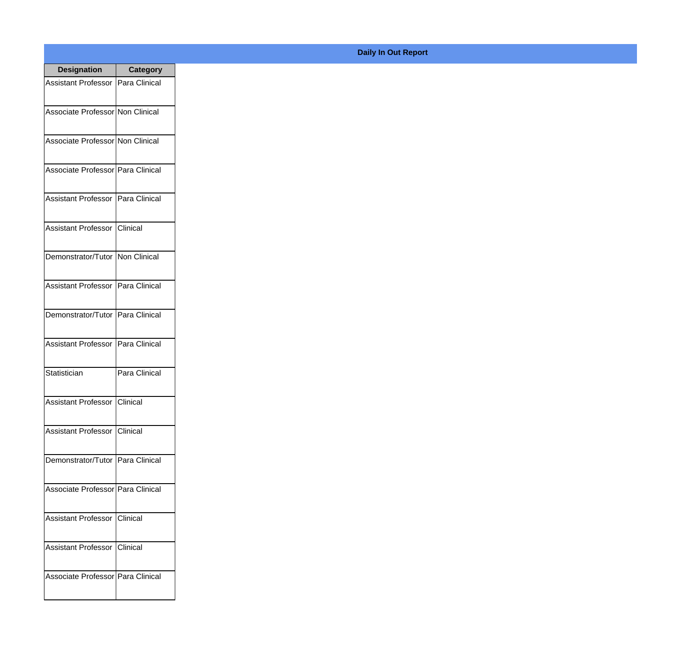| <b>Designation</b>                  | <b>Category</b> |
|-------------------------------------|-----------------|
| Assistant Professor   Para Clinical |                 |
| Associate Professor Non Clinical    |                 |
| Associate Professor Non Clinical    |                 |
| Associate Professor Para Clinical   |                 |
| Assistant Professor   Para Clinical |                 |
| Assistant Professor   Clinical      |                 |
| Demonstrator/Tutor   Non Clinical   |                 |
| <b>Assistant Professor</b>          | Para Clinical   |
| Demonstrator/Tutor   Para Clinical  |                 |
| <b>Assistant Professor</b>          | Para Clinical   |
| Statistician                        | Para Clinical   |
| Assistant Professor   Clinical      |                 |
| Assistant Professor   Clinical      |                 |
| Demonstrator/Tutor   Para Clinical  |                 |
| Associate Professor   Para Clinical |                 |
| <b>Assistant Professor</b>          | <b>Clinical</b> |
| <b>Assistant Professor</b>          | <b>Clinical</b> |
| Associate Professor Para Clinical   |                 |

## **Daily In Out Report**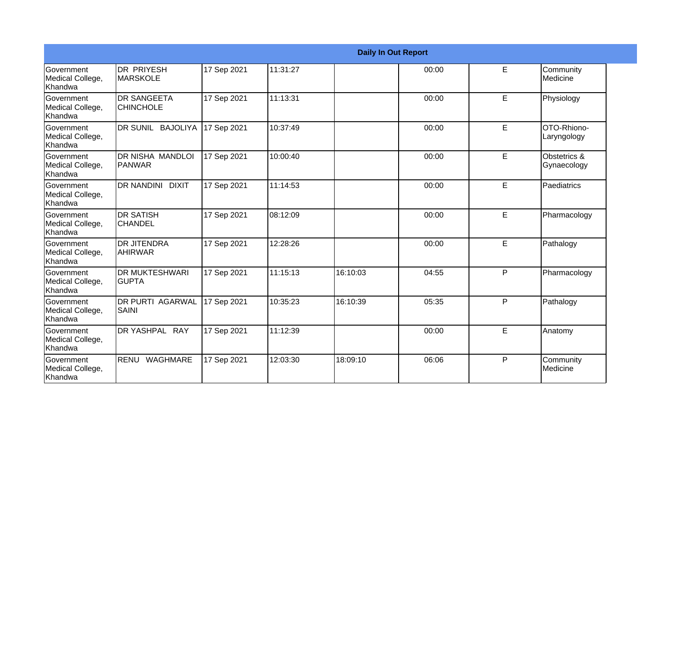|                                                         |                                         |             |          |          | <b>Daily In Out Report</b> |    |                             |
|---------------------------------------------------------|-----------------------------------------|-------------|----------|----------|----------------------------|----|-----------------------------|
| <b>Government</b><br>Medical College,<br>Khandwa        | <b>DR PRIYESH</b><br><b>MARSKOLE</b>    | 17 Sep 2021 | 11:31:27 |          | 00:00                      | E  | Community<br>Medicine       |
| <b>Government</b><br>Medical College,<br><b>Khandwa</b> | <b>DR SANGEETA</b><br><b>CHINCHOLE</b>  | 17 Sep 2021 | 11:13:31 |          | 00:00                      | E  | Physiology                  |
| <b>Government</b><br>Medical College,<br>Khandwa        | DR SUNIL BAJOLIYA                       | 17 Sep 2021 | 10:37:49 |          | 00:00                      | E  | OTO-Rhiono-<br>Laryngology  |
| <b>Government</b><br>Medical College,<br>Khandwa        | DR NISHA MANDLOI<br>PANWAR              | 17 Sep 2021 | 10:00:40 |          | 00:00                      | E  | Obstetrics &<br>Gynaecology |
| <b>Government</b><br>Medical College,<br>Khandwa        | DR NANDINI DIXIT                        | 17 Sep 2021 | 11:14:53 |          | 00:00                      | E  | Paediatrics                 |
| <b>Government</b><br>Medical College,<br>Khandwa        | <b>DR SATISH</b><br><b>CHANDEL</b>      | 17 Sep 2021 | 08:12:09 |          | 00:00                      | E  | Pharmacology                |
| Government<br>Medical College,<br>Khandwa               | <b>DR JITENDRA</b><br><b>AHIRWAR</b>    | 17 Sep 2021 | 12:28:26 |          | 00:00                      | E  | Pathalogy                   |
| <b>Government</b><br>Medical College,<br><b>Khandwa</b> | <b>DR MUKTESHWARI</b><br><b>GUPTA</b>   | 17 Sep 2021 | 11:15:13 | 16:10:03 | 04:55                      | P  | Pharmacology                |
| Government<br>Medical College,<br>Khandwa               | <b>DR PURTI AGARWAL</b><br><b>SAINI</b> | 17 Sep 2021 | 10:35:23 | 16:10:39 | 05:35                      | P  | Pathalogy                   |
| <b>Government</b><br>Medical College,<br>Khandwa        | DR YASHPAL RAY                          | 17 Sep 2021 | 11:12:39 |          | 00:00                      | E. | Anatomy                     |
| <b>Government</b><br>Medical College,<br>Khandwa        | RENU WAGHMARE                           | 17 Sep 2021 | 12:03:30 | 18:09:10 | 06:06                      | P  | Community<br>Medicine       |